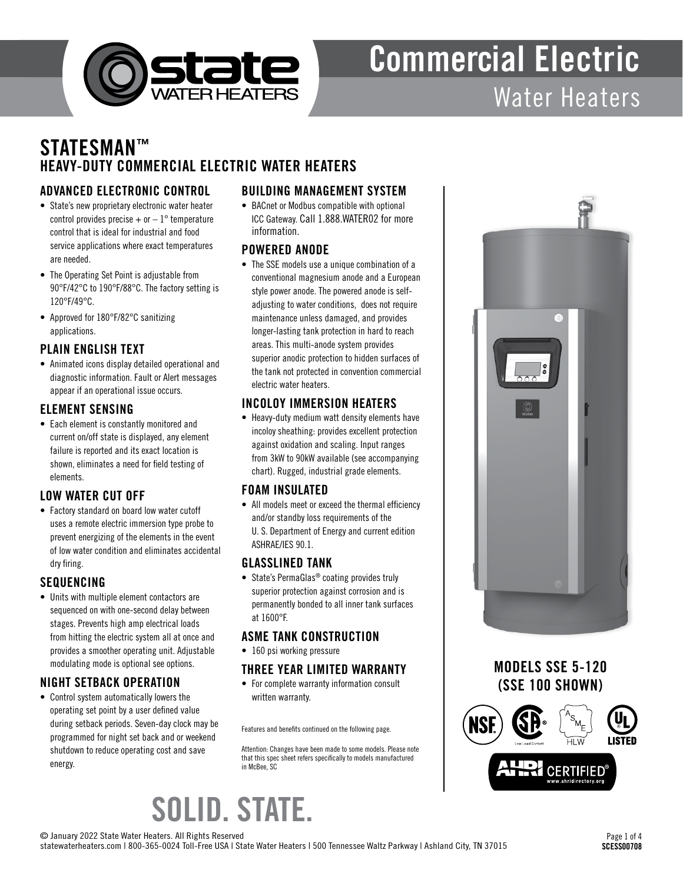

### STATESMAN™ HEAVY-DUTY COMMERCIAL ELECTRIC WATER HEATERS

#### ADVANCED ELECTRONIC CONTROL

- State's new proprietary electronic water heater control provides precise  $+$  or  $-1^{\circ}$  temperature control that is ideal for industrial and food service applications where exact temperatures are needed.
- The Operating Set Point is adjustable from 90°F/42°C to 190°F/88°C. The factory setting is 120°F/49°C.
- Approved for 180°F/82°C sanitizing applications.

#### PLAIN ENGLISH TEXT

• Animated icons display detailed operational and diagnostic information. Fault or Alert messages appear if an operational issue occurs.

#### ELEMENT SENSING

• Each element is constantly monitored and current on/off state is displayed, any element failure is reported and its exact location is shown, eliminates a need for field testing of elements.

#### LOW WATER CUT OFF

• Factory standard on board low water cutoff uses a remote electric immersion type probe to prevent energizing of the elements in the event of low water condition and eliminates accidental dry firing.

#### SEQUENCING

• Units with multiple element contactors are sequenced on with one-second delay between stages. Prevents high amp electrical loads from hitting the electric system all at once and provides a smoother operating unit. Adjustable modulating mode is optional see options.

#### NIGHT SETBACK OPERATION

• Control system automatically lowers the operating set point by a user defined value during setback periods. Seven-day clock may be programmed for night set back and or weekend shutdown to reduce operating cost and save energy.

#### BUILDING MANAGEMENT SYSTEM

• BACnet or Modbus compatible with optional ICC Gateway. Call 1.888.WATER02 for more information.

#### POWERED ANODE

• The SSE models use a unique combination of a conventional magnesium anode and a European style power anode. The powered anode is selfadjusting to water conditions, does not require maintenance unless damaged, and provides longer-lasting tank protection in hard to reach areas. This multi-anode system provides superior anodic protection to hidden surfaces of the tank not protected in convention commercial electric water heaters.

#### INCOLOY IMMERSION HEATERS

• Heavy-duty medium watt density elements have incoloy sheathing: provides excellent protection against oxidation and scaling. Input ranges from 3kW to 90kW available (see accompanying chart). Rugged, industrial grade elements.

#### FOAM INSULATED

• All models meet or exceed the thermal efficiency and/or standby loss requirements of the U. S. Department of Energy and current edition ASHRAE/IES 90.1.

#### GLASSLINED TANK

• State's PermaGlas<sup>®</sup> coating provides truly superior protection against corrosion and is permanently bonded to all inner tank surfaces at 1600°F.

#### ASME TANK CONSTRUCTION

• 160 psi working pressure

#### THREE YEAR LIMITED WARRANTY

• For complete warranty information consult written warranty.

Features and benefits continued on the following page.

Attention: Changes have been made to some models. Please note that this spec sheet refers specifically to models manufactured in McBee, SC







SOLID. STATE.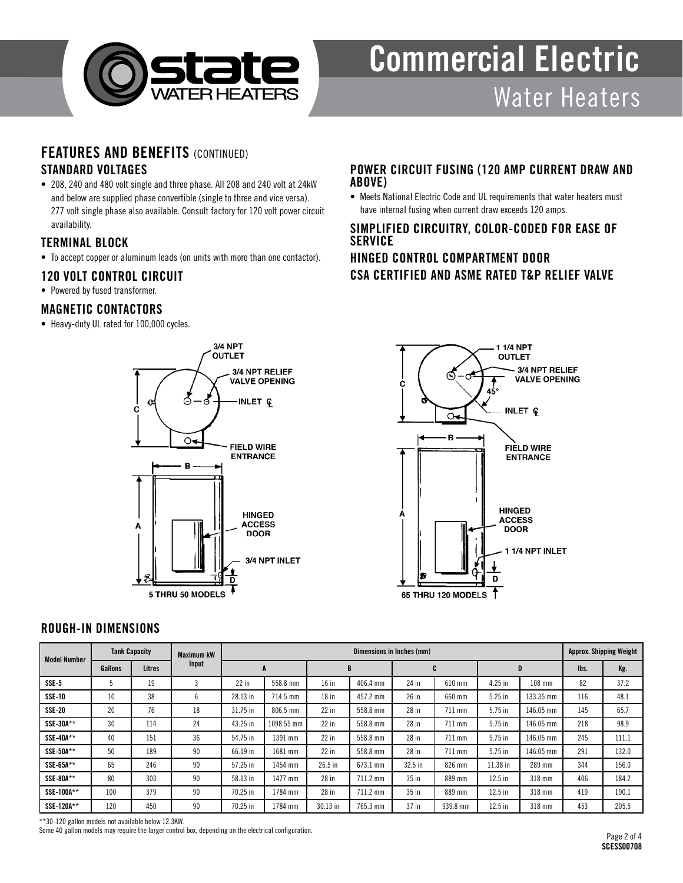

### FEATURES AND BENEFITS (CONTINUED)

#### STANDARD VOLTAGES

• 208, 240 and 480 volt single and three phase. All 208 and 240 volt at 24kW and below are supplied phase convertible (single to three and vice versa). 277 volt single phase also available. Consult factory for 120 volt power circuit availability.

#### TERMINAL BLOCK

• To accept copper or aluminum leads (on units with more than one contactor).

#### 120 VOLT CONTROL CIRCUIT

• Powered by fused transformer.

#### MAGNETIC CONTACTORS

• Heavy-duty UL rated for 100,000 cycles.



#### POWER CIRCUIT FUSING (120 AMP CURRENT DRAW AND ABOVE)

• Meets National Electric Code and UL requirements that water heaters must have internal fusing when current draw exceeds 120 amps.

#### SIMPLIFIED CIRCUITRY, COLOR-CODED FOR EASE OF **SERVICE**

#### HINGED CONTROL COMPARTMENT DOOR CSA CERTIFIED AND ASME RATED T&P RELIEF VALVE



#### ROUGH-IN DIMENSIONS

| <b>Model Number</b> | <b>Tank Capacity</b> |               | <b>Maximum kW</b> |          | <b>Approx. Shipping Weight</b> |          |          |           |          |           |           |      |       |
|---------------------|----------------------|---------------|-------------------|----------|--------------------------------|----------|----------|-----------|----------|-----------|-----------|------|-------|
|                     | Gallons              | <b>Litres</b> | Input             |          |                                | B        |          | ъ         |          | D         |           | lbs. | Kg.   |
| SSE-5               |                      | 19            |                   | $22$ in  | 558.8 mm                       | $16$ in  | 406.4 mm | 24 in     | 610 mm   | 4.25 in   | 108 mm    | 82   | 37.2  |
| <b>SSE-10</b>       | 10                   | 38            | 6                 | 28.13 in | 714.5 mm                       | $18$ in  | 457.2 mm | 26 in     | 660 mm   | $5.25$ in | 133.35 mm | 116  | 48.1  |
| <b>SSE-20</b>       | 20                   | 76            | 18                | 31.75 in | 806.5 mm                       | $22$ in  | 558.8 mm | 28 in     | 711 mm   | 5.75 in   | 146.05 mm | 145  | 65.7  |
| SSE-30A**           | 30                   | 114           | 24                | 43.25 in | 1098.55 mm                     | $22$ in  | 558.8 mm | $28$ in   | 711 mm   | 5.75 in   | 146.05 mm | 218  | 98.9  |
| SSE-40A**           | 40                   | 151           | 36                | 54.75 in | 1391 mm                        | $22$ in  | 558.8 mm | $28$ in   | 711 mm   | $5.75$ in | 146.05 mm | 245  | 111.1 |
| SSE-50A**           | 50                   | 189           | 90                | 66.19 in | 1681 mm                        | $22$ in  | 558.8 mm | $28$ in   | 711 mm   | 5.75 in   | 146.05 mm | 291  | 132.0 |
| SSE-65A**           | 65                   | 246           | 90                | 57.25 in | 1454 mm                        | 26.5 in  | 673.1 mm | $32.5$ in | 826 mm   | 11.38 in  | 289 mm    | 344  | 156.0 |
| SSE-80A**           | 80                   | 303           | 90                | 58.13 in | 1477 mm                        | 28 in    | 711.2 mm | $35$ in   | 889 mm   | $12.5$ in | 318 mm    | 406  | 184.2 |
| SSE-100A**          | 100                  | 379           | 90                | 70.25 in | 1784 mm                        | 28 in    | 711.2 mm | $35$ in   | 889 mm   | $12.5$ in | 318 mm    | 419  | 190.1 |
| SSE-120A**          | 120                  | 450           | 90                | 70.25 in | 1784 mm                        | 30.13 in | 765.3 mm | $37$ in   | 939.8 mm | $12.5$ in | 318 mm    | 453  | 205.5 |

\*\*30-120 gallon models not available below 12.3KW.

Some 40 gallon models may require the larger control box, depending on the electrical configuration.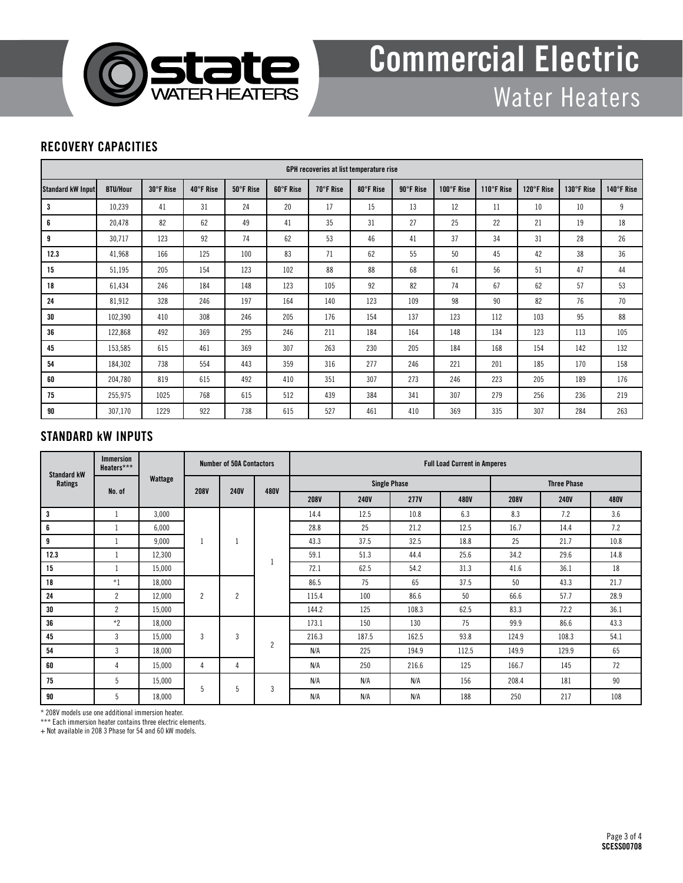

#### RECOVERY CAPACITIES

| <b>GPH recoveries at list temperature rise</b> |                 |           |           |           |           |           |           |           |            |            |            |            |            |
|------------------------------------------------|-----------------|-----------|-----------|-----------|-----------|-----------|-----------|-----------|------------|------------|------------|------------|------------|
| Standard kW Input                              | <b>BTU/Hour</b> | 30°F Rise | 40°F Rise | 50°F Rise | 60°F Rise | 70°F Rise | 80°F Rise | 90°F Rise | 100°F Rise | 110°F Rise | 120°F Rise | 130°F Rise | 140°F Rise |
| 3                                              | 10,239          | 41        | 31        | 24        | 20        | 17        | 15        | 13        | 12         | 11         | 10         | 10         | 9          |
| 6                                              | 20,478          | 82        | 62        | 49        | 41        | 35        | 31        | 27        | 25         | 22         | 21         | 19         | 18         |
| 9                                              | 30,717          | 123       | 92        | 74        | 62        | 53        | 46        | 41        | 37         | 34         | 31         | 28         | 26         |
| 12.3                                           | 41,968          | 166       | 125       | 100       | 83        | 71        | 62        | 55        | 50         | 45         | 42         | 38         | 36         |
| 15                                             | 51,195          | 205       | 154       | 123       | 102       | 88        | 88        | 68        | 61         | 56         | 51         | 47         | 44         |
| 18                                             | 61,434          | 246       | 184       | 148       | 123       | 105       | 92        | 82        | 74         | 67         | 62         | 57         | 53         |
| 24                                             | 81,912          | 328       | 246       | 197       | 164       | 140       | 123       | 109       | 98         | 90         | 82         | 76         | 70         |
| 30                                             | 102,390         | 410       | 308       | 246       | 205       | 176       | 154       | 137       | 123        | 112        | 103        | 95         | 88         |
| 36                                             | 122,868         | 492       | 369       | 295       | 246       | 211       | 184       | 164       | 148        | 134        | 123        | 113        | 105        |
| 45                                             | 153,585         | 615       | 461       | 369       | 307       | 263       | 230       | 205       | 184        | 168        | 154        | 142        | 132        |
| 54                                             | 184,302         | 738       | 554       | 443       | 359       | 316       | 277       | 246       | 221        | 201        | 185        | 170        | 158        |
| 60                                             | 204,780         | 819       | 615       | 492       | 410       | 351       | 307       | 273       | 246        | 223        | 205        | 189        | 176        |
| 75                                             | 255,975         | 1025      | 768       | 615       | 512       | 439       | 384       | 341       | 307        | 279        | 256        | 236        | 219        |
| 90                                             | 307,170         | 1229      | 922       | 738       | 615       | 527       | 461       | 410       | 369        | 335        | 307        | 284        | 263        |

#### STANDARD kW INPUTS

| <b>Standard kW</b><br>Ratings | <b>Immersion</b><br>Heaters*** | Wattage | <b>Number of 50A Contactors</b> |                |                | <b>Full Load Current in Amperes</b> |             |                     |                    |             |             |             |  |
|-------------------------------|--------------------------------|---------|---------------------------------|----------------|----------------|-------------------------------------|-------------|---------------------|--------------------|-------------|-------------|-------------|--|
|                               | No. of                         |         | <b>208V</b>                     | <b>240V</b>    | 480V           |                                     |             | <b>Single Phase</b> | <b>Three Phase</b> |             |             |             |  |
|                               |                                |         |                                 |                |                | <b>208V</b>                         | <b>240V</b> | <b>277V</b>         | 480V               | <b>208V</b> | <b>240V</b> | <b>480V</b> |  |
| 3                             |                                | 3,000   | $\overline{2}$                  |                |                | 14.4                                | 12.5        | 10.8                | 6.3                | 8.3         | 7.2         | 3.6         |  |
| 6                             |                                | 6,000   |                                 |                |                | 28.8                                | 25          | 21.2                | 12.5               | 16.7        | 14.4        | 7.2         |  |
| 9                             |                                | 9,000   |                                 |                |                | 43.3                                | 37.5        | 32.5                | 18.8               | 25          | 21.7        | 10.8        |  |
| 12.3                          |                                | 12,300  |                                 |                |                | 59.1                                | 51.3        | 44.4                | 25.6               | 34.2        | 29.6        | 14.8        |  |
| 15                            |                                | 15,000  |                                 |                |                | 72.1                                | 62.5        | 54.2                | 31.3               | 41.6        | 36.1        | 18          |  |
| 18                            | $*1$                           | 18,000  |                                 | $\overline{c}$ |                | 86.5                                | 75          | 65                  | 37.5               | 50          | 43.3        | 21.7        |  |
| 24                            | $\overline{2}$                 | 12,000  |                                 |                |                | 115.4                               | 100         | 86.6                | 50                 | 66.6        | 57.7        | 28.9        |  |
| 30                            | $\overline{c}$                 | 15,000  |                                 |                |                | 144.2                               | 125         | 108.3               | 62.5               | 83.3        | 72.2        | 36.1        |  |
| 36                            | $*2$                           | 18,000  | $\overline{3}$<br>4             |                | $\overline{c}$ | 173.1                               | 150         | 130                 | 75                 | 99.9        | 86.6        | 43.3        |  |
| 45                            | 3                              | 15,000  |                                 | 3              |                | 216.3                               | 187.5       | 162.5               | 93.8               | 124.9       | 108.3       | 54.1        |  |
| 54                            | 3                              | 18,000  |                                 |                |                | N/A                                 | 225         | 194.9               | 112.5              | 149.9       | 129.9       | 65          |  |
| 60                            | 4                              | 15,000  |                                 | 4              |                | N/A                                 | 250         | 216.6               | 125                | 166.7       | 145         | 72          |  |
| 75                            | 5                              | 15,000  | 5                               | 5              | 3              | N/A                                 | N/A         | N/A                 | 156                | 208.4       | 181         | 90          |  |
| 90                            | 5                              | 18,000  |                                 |                |                | N/A                                 | N/A         | N/A                 | 188                | 250         | 217         | 108         |  |

\* 208V models use one additional immersion heater.

\*\*\* Each immersion heater contains three electric elements.

+ Not available in 208 3 Phase for 54 and 60 kW models.